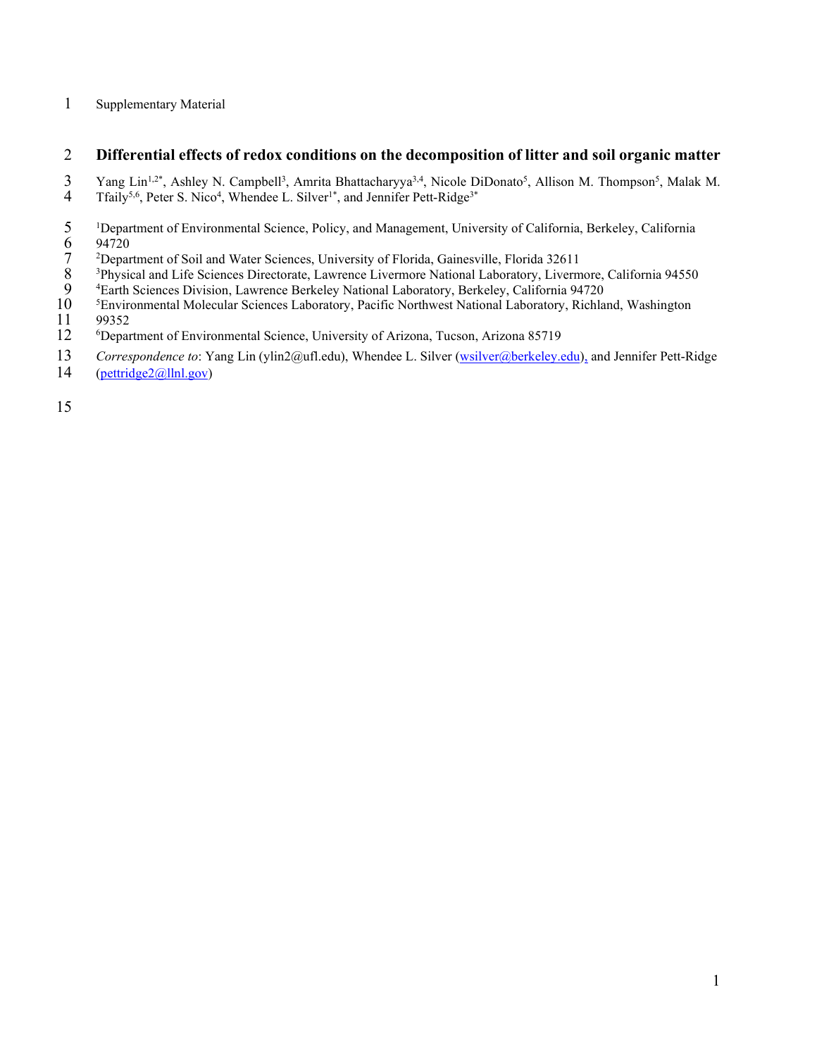## 1 Supplementary Material

## 2 **Differential effects of redox conditions on the decomposition of litter and soil organic matter**

3 Yang Lin<sup>1,2\*</sup>, Ashley N. Campbell<sup>3</sup>, Amrita Bhattacharyya<sup>3,4</sup>, Nicole DiDonato<sup>5</sup>, Allison M. Thompson<sup>5</sup>, Malak M.

- 4 Tfaily<sup>5,6</sup>, Peter S. Nico<sup>4</sup>, Whendee L. Silver<sup>1\*</sup>, and Jennifer Pett-Ridge<sup>3\*</sup>
- $5^{1}$ <sup>1</sup>Department of Environmental Science, Policy, and Management, University of California, Berkeley, California 94720
- $7^{2}$ Department of Soil and Water Sciences, University of Florida, Gainesville, Florida 32611
- <sup>3</sup>Physical and Life Sciences Directorate, Lawrence Livermore National Laboratory, Livermore, California 94550
- 
- <sup>4</sup> Earth Sciences Division, Lawrence Berkeley National Laboratory, Berkeley, California 94720<br>10 <sup>5</sup> Environmental Molecular Sciences Laboratory, Pacific Northwest National Laboratory, Richla <sup>5</sup> Environmental Molecular Sciences Laboratory, Pacific Northwest National Laboratory, Richland, Washington<br>
11 99352
- 99352
- 12 Department of Environmental Science, University of Arizona, Tucson, Arizona 85719
- 13 *Correspondence to*: Yang Lin (ylin2@ufl.edu), Whendee L. Silver [\(wsilver@berkeley.edu\)](mailto:wsilver@berkeley.edu), and Jennifer Pett-Ridge
- 14 [\(pettridge2@llnl.gov\)](mailto:pettridge2@llnl.gov)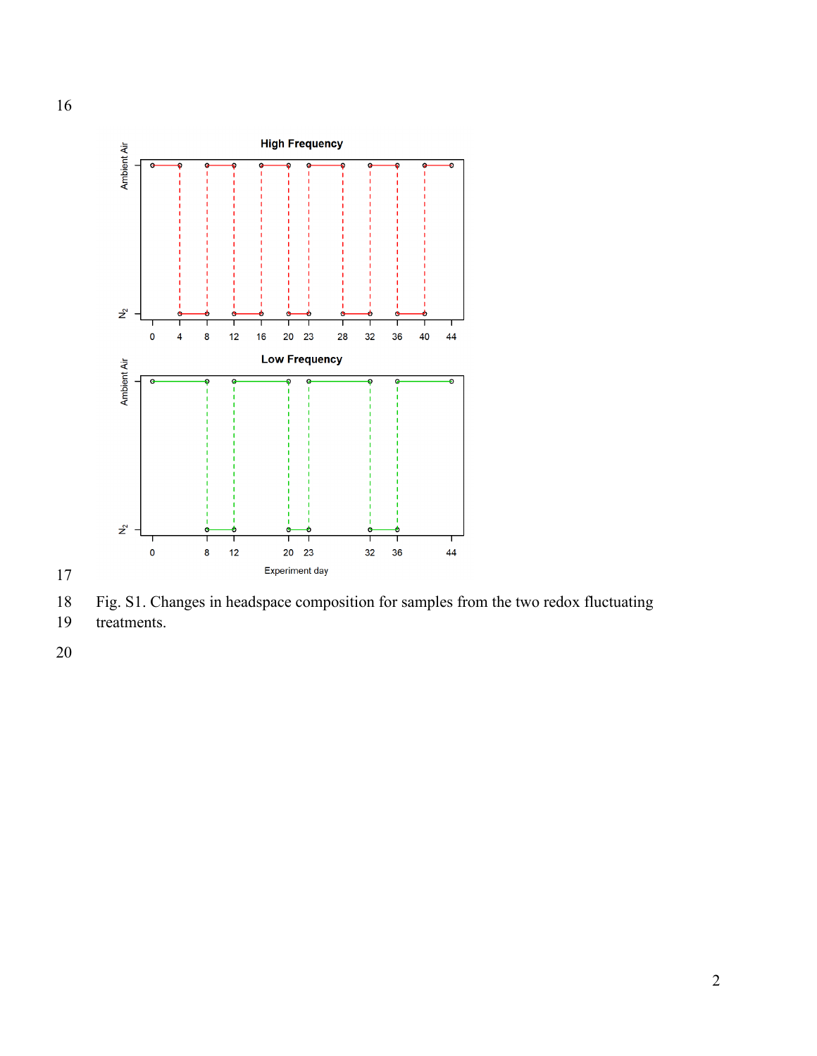

Fig. S1. Changes in headspace composition for samples from the two redox fluctuating

treatments.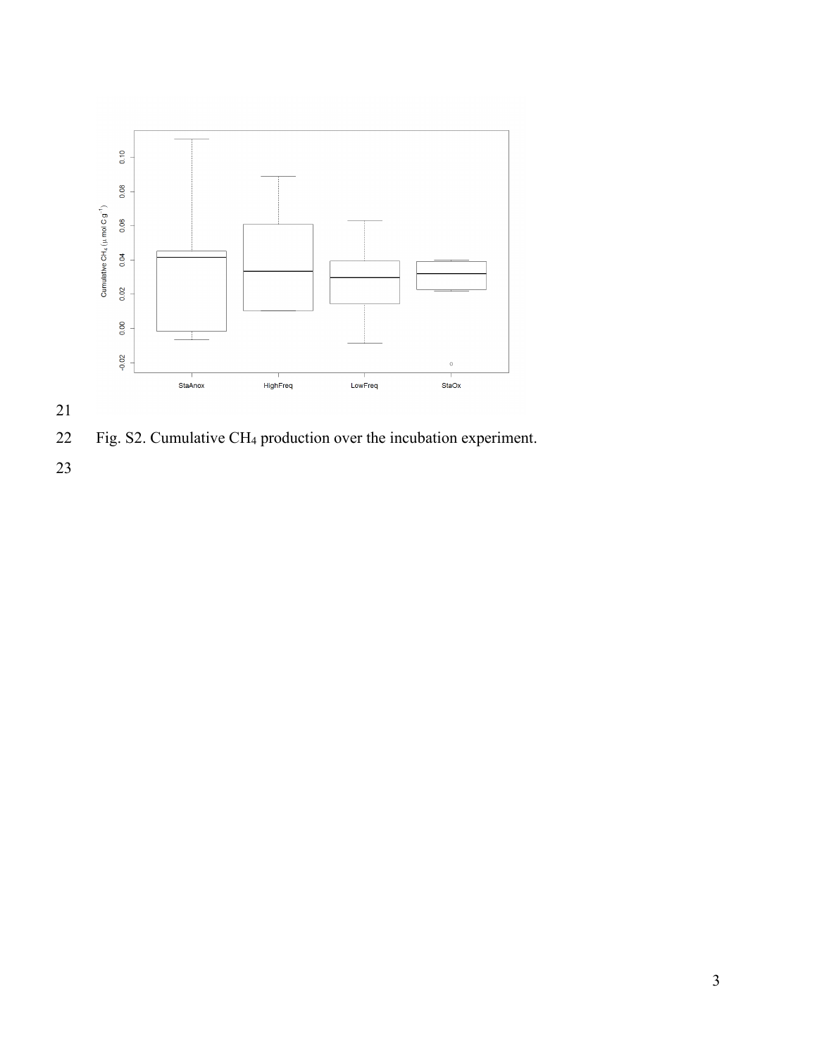

Fig. S2. Cumulative CH4 production over the incubation experiment.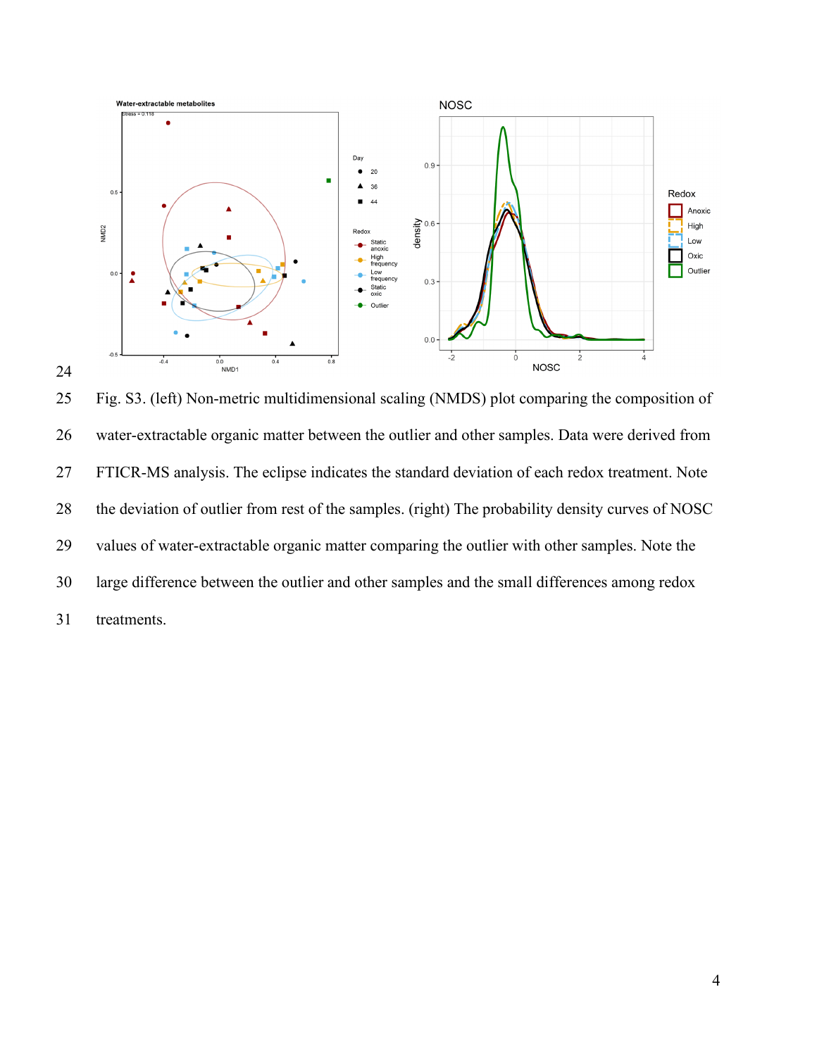

 Fig. S3. (left) Non-metric multidimensional scaling (NMDS) plot comparing the composition of water-extractable organic matter between the outlier and other samples. Data were derived from FTICR-MS analysis. The eclipse indicates the standard deviation of each redox treatment. Note the deviation of outlier from rest of the samples. (right) The probability density curves of NOSC values of water-extractable organic matter comparing the outlier with other samples. Note the large difference between the outlier and other samples and the small differences among redox treatments.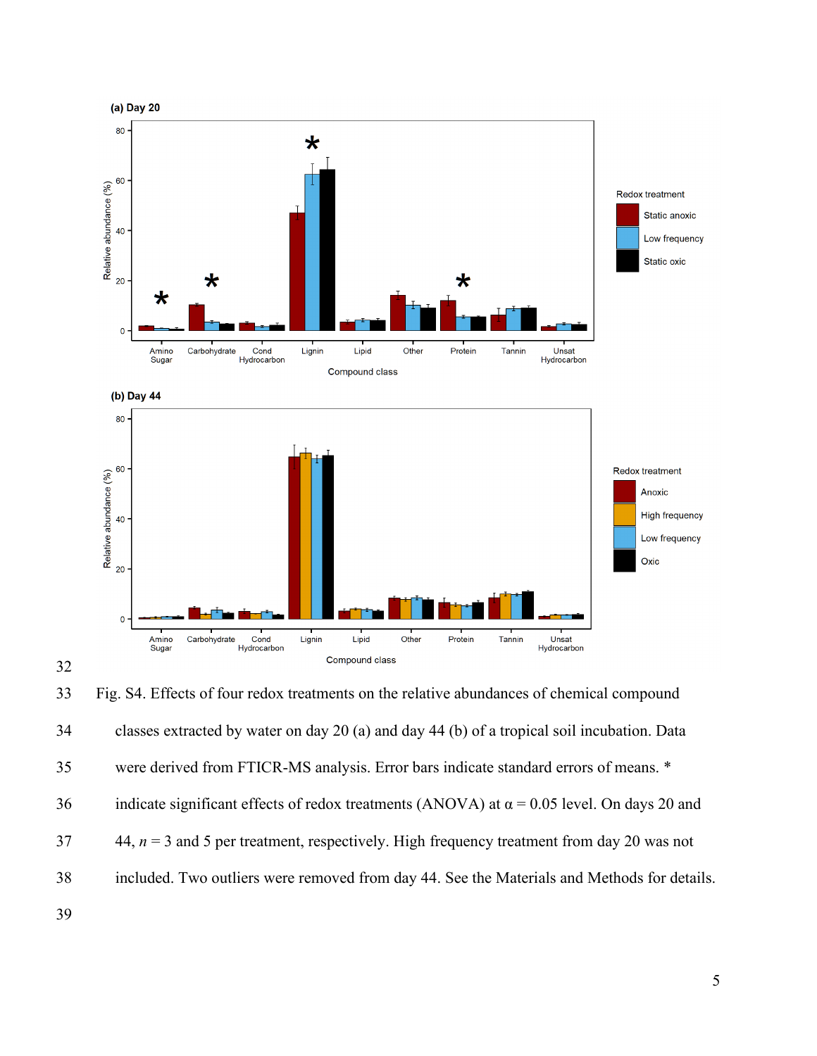

 Fig. S4. Effects of four redox treatments on the relative abundances of chemical compound classes extracted by water on day 20 (a) and day 44 (b) of a tropical soil incubation. Data were derived from FTICR-MS analysis. Error bars indicate standard errors of means. \* 36 indicate significant effects of redox treatments (ANOVA) at  $\alpha$  = 0.05 level. On days 20 and 44, *n* = 3 and 5 per treatment, respectively. High frequency treatment from day 20 was not included. Two outliers were removed from day 44. See the Materials and Methods for details.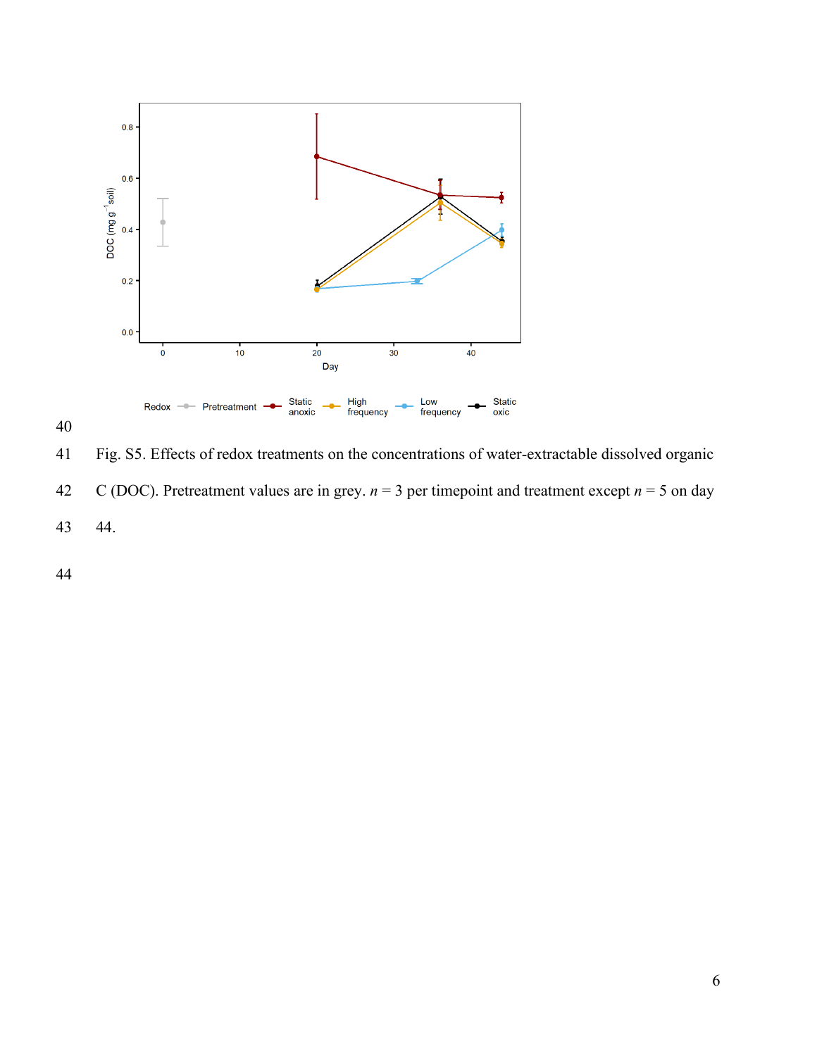

 Fig. S5. Effects of redox treatments on the concentrations of water-extractable dissolved organic C (DOC). Pretreatment values are in grey. *n* = 3 per timepoint and treatment except *n* = 5 on day 44.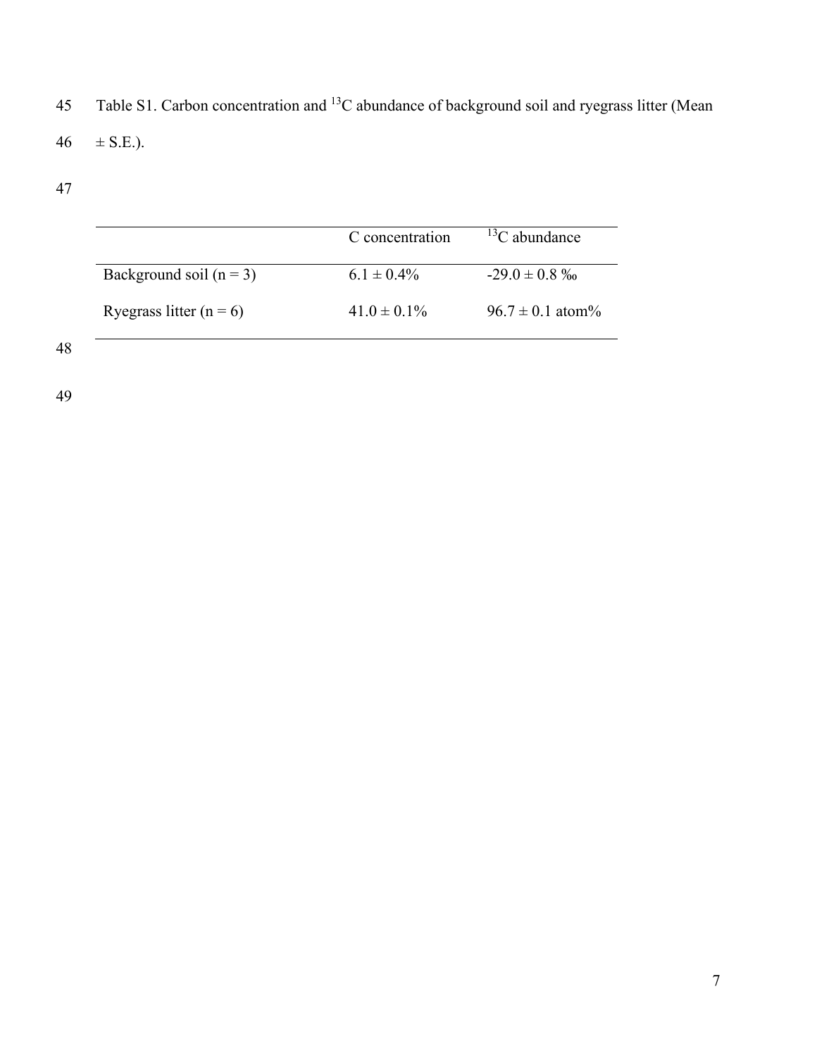45 Table S1. Carbon concentration and <sup>13</sup>C abundance of background soil and ryegrass litter (Mean 46  $\pm$  S.E.).

|                             | C concentration  | ${}^{13}C$ abundance |  |
|-----------------------------|------------------|----------------------|--|
| Background soil $(n = 3)$   | $6.1 \pm 0.4\%$  | $-29.0 \pm 0.8 \%$   |  |
| Ryegrass litter ( $n = 6$ ) | $41.0 \pm 0.1\%$ | $96.7 \pm 0.1$ atom% |  |

48